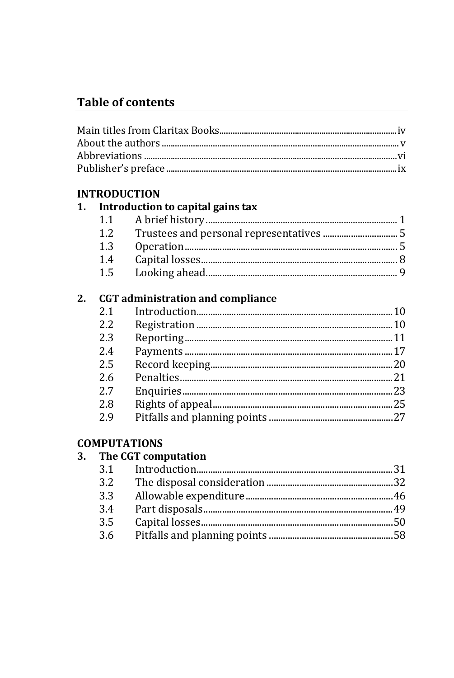# **Table of contents**

|    | <b>INTRODUCTION</b> |                                          |
|----|---------------------|------------------------------------------|
|    |                     | 1. Introduction to capital gains tax     |
|    | 1.1                 |                                          |
|    | 1.2.                |                                          |
|    | 1.3                 |                                          |
|    | 1.4                 |                                          |
|    | 1.5                 |                                          |
| 2. |                     | <b>CGT</b> administration and compliance |
|    | 2.1                 |                                          |
|    | 2.2.                |                                          |
|    | 2.3                 |                                          |
|    | 2.4                 |                                          |
|    | 2.5                 |                                          |
|    | 2.6                 |                                          |
|    | 2.7                 |                                          |
|    | 2.8                 |                                          |
|    | 2.9                 |                                          |

### **COMPUTATIONS**

#### 3. The CGT computation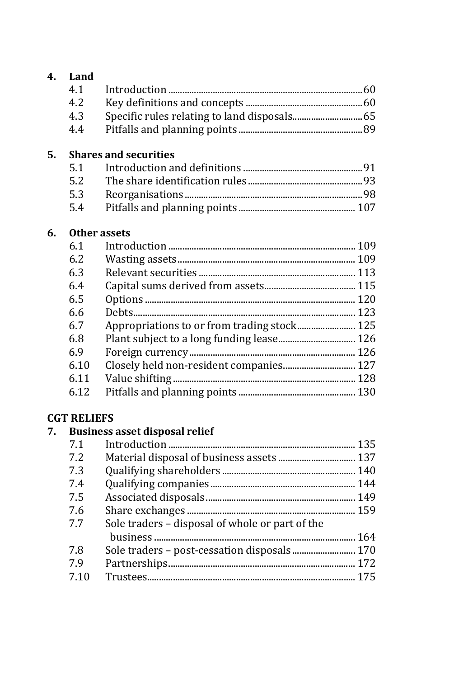| 4. | Land               |                                              |  |
|----|--------------------|----------------------------------------------|--|
|    | 4.1                |                                              |  |
|    | 4.2                |                                              |  |
|    | 4.3                | Specific rules relating to land disposals 65 |  |
|    | 4.4                |                                              |  |
| 5. |                    | <b>Shares and securities</b>                 |  |
|    | 5.1                |                                              |  |
|    | 5.2                |                                              |  |
|    | 5.3                |                                              |  |
|    | 5.4                |                                              |  |
| 6. |                    | Other assets                                 |  |
|    | 6.1                |                                              |  |
|    | 6.2                |                                              |  |
|    | 6.3                |                                              |  |
|    | 6.4                |                                              |  |
|    | 6.5                |                                              |  |
|    | 6.6                |                                              |  |
|    | 6.7                | Appropriations to or from trading stock 125  |  |
|    | 6.8                |                                              |  |
|    | 6.9                |                                              |  |
|    | 6.10               | Closely held non-resident companies 127      |  |
|    | 6.11               |                                              |  |
|    | 6.12               |                                              |  |
|    | <b>CGT RELIEFS</b> |                                              |  |
| 7. |                    | <b>Business asset disposal relief</b>        |  |
|    | 7.1                |                                              |  |

| 71   |                                                 |  |
|------|-------------------------------------------------|--|
| 7.2  |                                                 |  |
| 7.3  |                                                 |  |
| 7.4  |                                                 |  |
| 7.5  |                                                 |  |
| 7.6  |                                                 |  |
| 7.7  | Sole traders – disposal of whole or part of the |  |
|      |                                                 |  |
| 7.8  |                                                 |  |
| 7.9  |                                                 |  |
| 7.10 |                                                 |  |
|      |                                                 |  |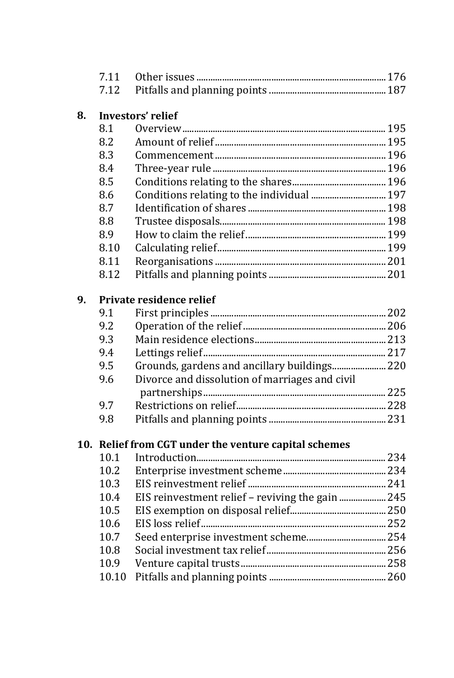#### **8. Investors' relief**

| 8.1  |  |
|------|--|
| 8.2  |  |
| 8.3  |  |
| 8.4  |  |
| 8.5  |  |
| 8.6  |  |
| 8.7  |  |
| 8.8  |  |
| 8.9  |  |
| 8.10 |  |
| 8.11 |  |
| 8.12 |  |
|      |  |

### **9. Private residence relief**

| 9.1 |                                                |  |
|-----|------------------------------------------------|--|
| 9.2 |                                                |  |
| 9.3 |                                                |  |
| 9.4 |                                                |  |
| 9.5 |                                                |  |
| 9.6 | Divorce and dissolution of marriages and civil |  |
|     |                                                |  |
| 9.7 |                                                |  |
| 9.8 |                                                |  |
|     |                                                |  |

# **10. Relief from CGT under the venture capital schemes**

| 10.1  |  |
|-------|--|
| 10.2  |  |
| 10.3  |  |
| 10.4  |  |
| 10.5  |  |
| 10.6  |  |
| 10.7  |  |
| 10.8  |  |
| 10.9  |  |
| 10.10 |  |
|       |  |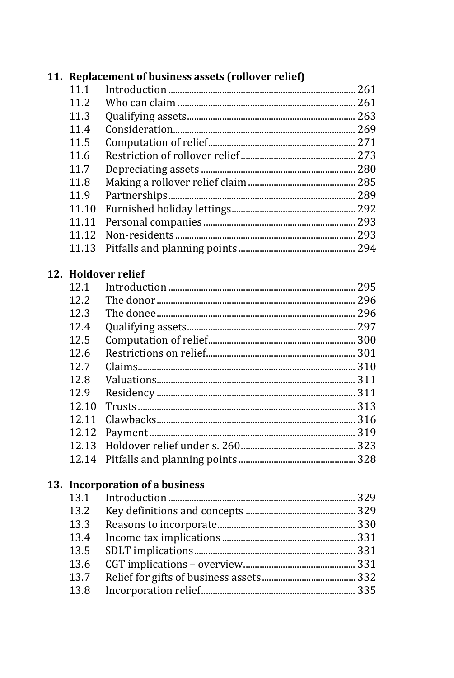|       | 11. Replacement of business assets (rollover relief) |     |
|-------|------------------------------------------------------|-----|
| 11.1  |                                                      |     |
| 11.2  |                                                      |     |
| 11.3  |                                                      |     |
| 11.4  |                                                      |     |
| 11.5  |                                                      |     |
| 11.6  |                                                      |     |
| 11.7  |                                                      |     |
| 11.8  |                                                      |     |
| 11.9  |                                                      |     |
|       |                                                      |     |
| 11.11 |                                                      |     |
|       |                                                      |     |
|       |                                                      |     |
|       | 12. Holdover relief                                  |     |
|       |                                                      |     |
|       | $100 - \text{m}$ . $1.1$                             | nnr |

| $\mathbf{1}$ . |  |
|----------------|--|
| 12.2           |  |
| 12.3           |  |
| 12.4           |  |
| 12.5           |  |
| 12.6           |  |
| 12.7           |  |
| 12.8           |  |
| 12.9           |  |
| 12.10          |  |
| 12.11          |  |
| 12.12          |  |
|                |  |
| 12.14          |  |
|                |  |

#### 13. Incorporation of a business

| 13.1 |  |
|------|--|
| 13.2 |  |
| 13.3 |  |
| 13.4 |  |
| 13.5 |  |
| 13.6 |  |
| 13.7 |  |
| 13.8 |  |
|      |  |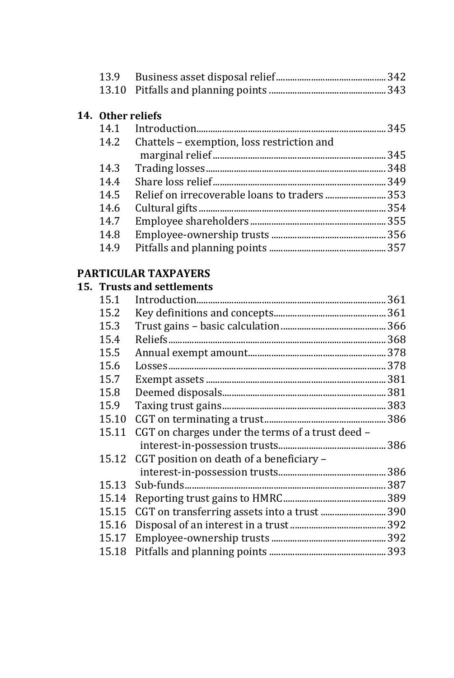| 13.9              |                                            |     |
|-------------------|--------------------------------------------|-----|
| 13.10             |                                            |     |
|                   |                                            |     |
| 14. Other reliefs |                                            |     |
| 14.1              |                                            | 345 |
| 14.2              | Chattels – exemption, loss restriction and |     |
|                   |                                            | 345 |
| 14.3              |                                            | 348 |
| 14.4              |                                            | 349 |
| 14.5              |                                            | 353 |
| 14.6              |                                            | 354 |
| 14.7              |                                            | 355 |
| 14.8              |                                            |     |
| 14.9              |                                            |     |
|                   |                                            |     |

#### **PARTICULAR TAXPAYERS**

### **15. Trusts and settlements**

| 15.1  |                                                  |      |
|-------|--------------------------------------------------|------|
| 15.2  |                                                  |      |
| 15.3  |                                                  |      |
| 15.4  |                                                  |      |
| 15.5  |                                                  |      |
| 15.6  |                                                  | .378 |
| 15.7  |                                                  |      |
| 15.8  |                                                  |      |
| 15.9  |                                                  |      |
| 15.10 |                                                  |      |
| 15.11 | CGT on charges under the terms of a trust deed - |      |
|       |                                                  | 386  |
| 15.12 | CGT position on death of a beneficiary -         |      |
|       |                                                  | 386  |
| 15.13 |                                                  |      |
| 15.14 |                                                  |      |
| 15.15 |                                                  |      |
| 15.16 |                                                  |      |
| 15.17 |                                                  |      |
| 15.18 |                                                  |      |
|       |                                                  |      |